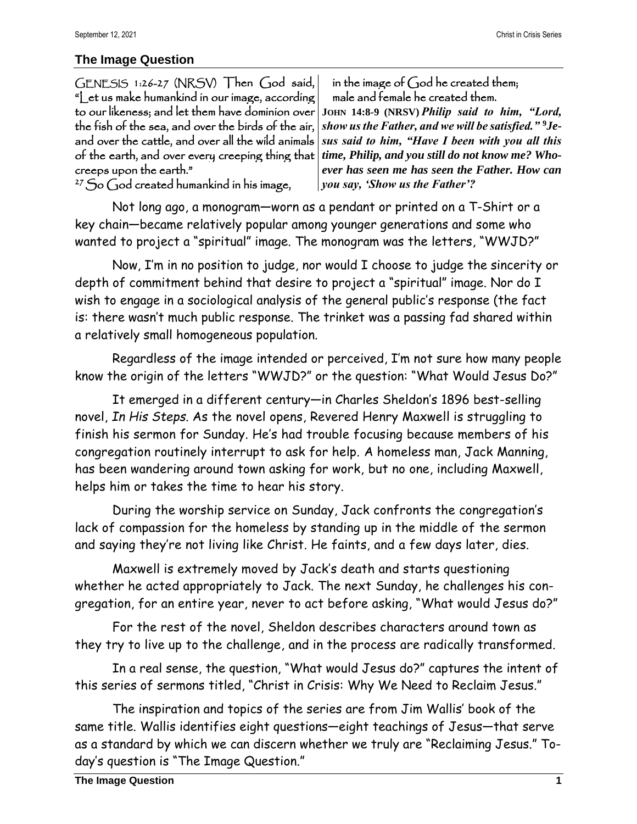## **The Image Question**

GENESIS 1:26-27 (NRSV) Then God said, "Let us make humankind in our image, according to our likeness; and let them have dominion over **JOHN 14:8-9 (NRSV)** *Philip said to him, "Lord,*  the fish of the sea, and over the birds of the air, and over the cattle, and over all the wild animals of the earth, and over every creeping thing that creeps upon the earth."

in the image of  $\bigcap$  od he created them; male and female he created them.

*show us the Father, and we will be satisfied."* **<sup>9</sup>***Jesus said to him, "Have I been with you all this time, Philip, and you still do not know me? Whoever has seen me has seen the Father. How can you say, 'Show us the Father'?*

 $27$  So God created humankind in his image,

Not long ago, a monogram—worn as a pendant or printed on a T-Shirt or a key chain—became relatively popular among younger generations and some who wanted to project a "spiritual" image. The monogram was the letters, "WWJD?"

Now, I'm in no position to judge, nor would I choose to judge the sincerity or depth of commitment behind that desire to project a "spiritual" image. Nor do I wish to engage in a sociological analysis of the general public's response (the fact is: there wasn't much public response. The trinket was a passing fad shared within a relatively small homogeneous population.

Regardless of the image intended or perceived, I'm not sure how many people know the origin of the letters "WWJD?" or the question: "What Would Jesus Do?"

It emerged in a different century—in Charles Sheldon's 1896 best-selling novel, *In His Steps*. As the novel opens, Revered Henry Maxwell is struggling to finish his sermon for Sunday. He's had trouble focusing because members of his congregation routinely interrupt to ask for help. A homeless man, Jack Manning, has been wandering around town asking for work, but no one, including Maxwell, helps him or takes the time to hear his story.

During the worship service on Sunday, Jack confronts the congregation's lack of compassion for the homeless by standing up in the middle of the sermon and saying they're not living like Christ. He faints, and a few days later, dies.

Maxwell is extremely moved by Jack's death and starts questioning whether he acted appropriately to Jack. The next Sunday, he challenges his congregation, for an entire year, never to act before asking, "What would Jesus do?"

For the rest of the novel, Sheldon describes characters around town as they try to live up to the challenge, and in the process are radically transformed.

In a real sense, the question, "What would Jesus do?" captures the intent of this series of sermons titled, "Christ in Crisis: Why We Need to Reclaim Jesus."

The inspiration and topics of the series are from Jim Wallis' book of the same title. Wallis identifies eight questions—eight teachings of Jesus—that serve as a standard by which we can discern whether we truly are "Reclaiming Jesus." Today's question is "The Image Question."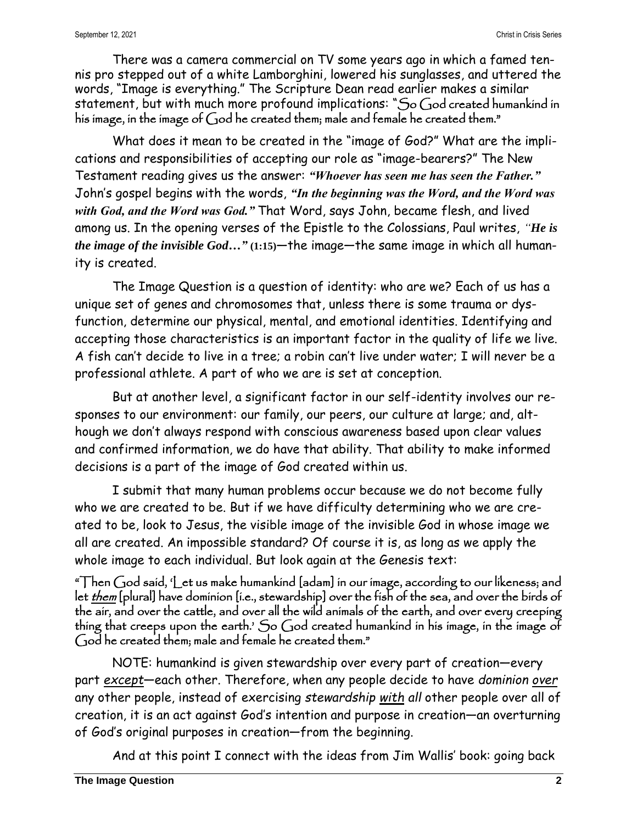There was a camera commercial on TV some years ago in which a famed tennis pro stepped out of a white Lamborghini, lowered his sunglasses, and uttered the words, "Image is everything." The Scripture Dean read earlier makes a similar statement, but with much more profound implications: "So God created humankind in his image, in the image of God he created them; male and female he created them."

What does it mean to be created in the "image of God?" What are the implications and responsibilities of accepting our role as "image-bearers?" The New Testament reading gives us the answer: *"Whoever has seen me has seen the Father."* John's gospel begins with the words, *"In the beginning was the Word, and the Word was with God, and the Word was God."* That Word, says John, became flesh, and lived among us. In the opening verses of the Epistle to the Colossians, Paul writes, *"He is the image of the invisible God…"* **(1:15)**—the image—the same image in which all humanity is created.

The Image Question is a question of identity: who are we? Each of us has a unique set of genes and chromosomes that, unless there is some trauma or dysfunction, determine our physical, mental, and emotional identities. Identifying and accepting those characteristics is an important factor in the quality of life we live. A fish can't decide to live in a tree; a robin can't live under water; I will never be a professional athlete. A part of who we are is set at conception.

But at another level, a significant factor in our self-identity involves our responses to our environment: our family, our peers, our culture at large; and, although we don't always respond with conscious awareness based upon clear values and confirmed information, we do have that ability. That ability to make informed decisions is a part of the image of God created within us.

I submit that many human problems occur because we do not become fully who we are created to be. But if we have difficulty determining who we are created to be, look to Jesus, the visible image of the invisible God in whose image we all are created. An impossible standard? Of course it is, as long as we apply the whole image to each individual. But look again at the Genesis text:

"Then God said, 'Let us make humankind [adam] in our image, according to our likeness; and let them [plural] have dominion [i.e., stewardship] over the fish of the sea, and over the birds of the air, and over the cattle, and over all the wild animals of the earth, and over every creeping thing that creeps upon the earth.' So God created humankind in his image, in the image of God he created them; male and female he created them."

NOTE: humankind is given stewardship over every part of creation—every part *except*—each other. Therefore, when any people decide to have *dominion over* any other people, instead of exercising *stewardship with all* other people over all of creation, it is an act against God's intention and purpose in creation—an overturning of God's original purposes in creation—from the beginning.

And at this point I connect with the ideas from Jim Wallis' book: going back